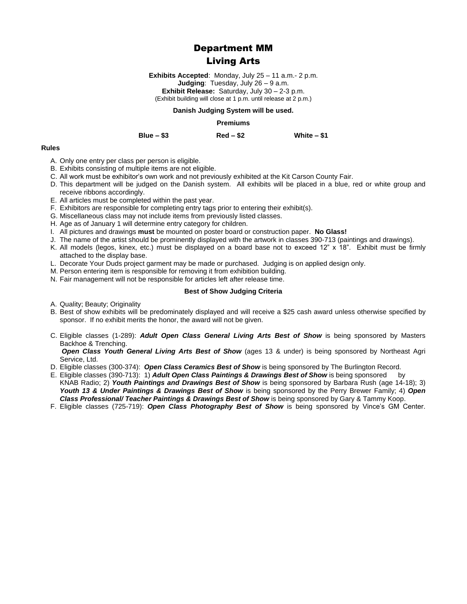# Department MM

# Living Arts

**Exhibits Accepted**: Monday, July 25 – 11 a.m.- 2 p.m. **Judging**: Tuesday, July 26 – 9 a.m. **Exhibit Release:** Saturday, July 30 – 2-3 p.m. (Exhibit building will close at 1 p.m. until release at 2 p.m.)

#### **Danish Judging System will be used.**

#### **Premiums**

#### **Blue – \$3 Red – \$2 White – \$1**

#### **Rules**

- A. Only one entry per class per person is eligible.
- B. Exhibits consisting of multiple items are not eligible.
- C. All work must be exhibitor's own work and not previously exhibited at the Kit Carson County Fair.
- D. This department will be judged on the Danish system. All exhibits will be placed in a blue, red or white group and receive ribbons accordingly.
- E. All articles must be completed within the past year.
- F. Exhibitors are responsible for completing entry tags prior to entering their exhibit(s).
- G. Miscellaneous class may not include items from previously listed classes.
- H. Age as of January 1 will determine entry category for children.
- I. All pictures and drawings **must** be mounted on poster board or construction paper. **No Glass!**
- J. The name of the artist should be prominently displayed with the artwork in classes 390-713 (paintings and drawings).
- K. All models (legos, kinex, etc.) must be displayed on a board base not to exceed 12" x 18". Exhibit must be firmly attached to the display base.
- L. Decorate Your Duds project garment may be made or purchased. Judging is on applied design only.
- M. Person entering item is responsible for removing it from exhibition building.
- N. Fair management will not be responsible for articles left after release time.

#### **Best of Show Judging Criteria**

- A. Quality: Beauty: Originality
- B. Best of show exhibits will be predominately displayed and will receive a \$25 cash award unless otherwise specified by sponsor. If no exhibit merits the honor, the award will not be given.
- C. Eligible classes (1-289): *Adult Open Class General Living Arts Best of Show* is being sponsored by Masters Backhoe & Trenching.

*Open Class Youth General Living Arts Best of Show* (ages 13 & under) is being sponsored by Northeast Agri Service, Ltd.

- D. Eligible classes (300-374): *Open Class Ceramics Best of Show* is being sponsored by The Burlington Record.
- E. Eligible classes (390-713): 1) *Adult Open Class Paintings & Drawings Best of Show* is being sponsored by KNAB Radio; 2) *Youth Paintings and Drawings Best of Show* is being sponsored by Barbara Rush (age 14-18); 3) *Youth 13 & Under Paintings & Drawings Best of Show* is being sponsored by the Perry Brewer Family; 4) *Open Class Professional/ Teacher Paintings & Drawings Best of Show* is being sponsored by Gary & Tammy Koop.
- F. Eligible classes (725-719): *Open Class Photography Best of Show* is being sponsored by Vince's GM Center.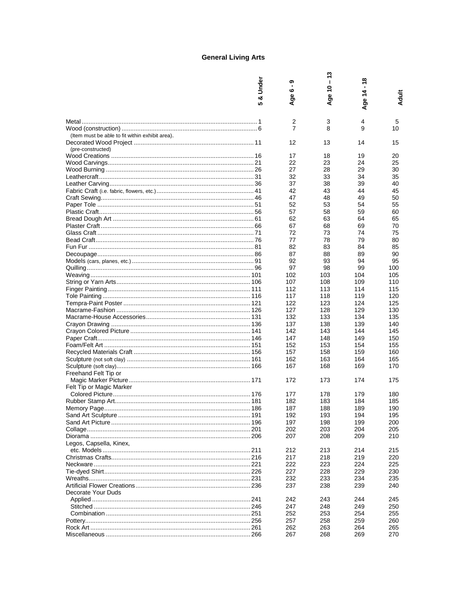# **General Living Arts**

|                                                 | Under<br>య<br><b>5</b> | ග<br>ဖ<br>ჭ.<br>⋖ | $-13$<br>ge 10<br>⋖ | $-18$<br>ge $14$ .<br>⋖ | Adult      |
|-------------------------------------------------|------------------------|-------------------|---------------------|-------------------------|------------|
|                                                 |                        | 2                 | 3                   | 4                       | 5          |
|                                                 |                        | $\overline{7}$    | 8                   | 9                       | 10         |
| (Item must be able to fit within exhibit area). |                        |                   |                     |                         |            |
| (pre-constructed)                               |                        | 12                | 13                  | 14                      | 15         |
|                                                 |                        | 17                | 18                  | 19                      | 20         |
|                                                 |                        | 22                | 23                  | 24                      | 25         |
|                                                 |                        | 27                | 28                  | 29                      | 30         |
|                                                 |                        | 32                | 33                  | 34                      | 35         |
|                                                 |                        | 37                | 38                  | 39                      | 40         |
|                                                 |                        | 42                | 43                  | 44                      | 45         |
|                                                 |                        | 47                | 48                  | 49                      | 50         |
|                                                 |                        | 52                | 53                  | 54                      | 55         |
|                                                 |                        | 57                | 58                  | 59                      | 60         |
|                                                 |                        | 62                | 63                  | 64                      | 65         |
|                                                 |                        | 67<br>72          | 68<br>73            | 69<br>74                | 70<br>75   |
|                                                 |                        | 77                | 78                  | 79                      | 80         |
|                                                 |                        | 82                | 83                  | 84                      | 85         |
|                                                 |                        | 87                | 88                  | 89                      | 90         |
|                                                 |                        | 92                | 93                  | 94                      | 95         |
|                                                 |                        | 97                | 98                  | 99                      | 100        |
|                                                 |                        | 102               | 103                 | 104                     | 105        |
|                                                 |                        | 107               | 108                 | 109                     | 110        |
|                                                 |                        | 112               | 113                 | 114                     | 115        |
|                                                 |                        | 117               | 118                 | 119                     | 120        |
|                                                 |                        | 122               | 123                 | 124                     | 125        |
|                                                 |                        | 127               | 128                 | 129                     | 130        |
|                                                 |                        | 132               | 133                 | 134                     | 135        |
|                                                 |                        | 137<br>142        | 138<br>143          | 139<br>144              | 140<br>145 |
|                                                 |                        | 147               | 148                 | 149                     | 150        |
|                                                 |                        | 152               | 153                 | 154                     | 155        |
|                                                 |                        | 157               | 158                 | 159                     | 160        |
|                                                 |                        | 162               | 163                 | 164                     | 165        |
|                                                 |                        | 167               | 168                 | 169                     | 170        |
| Freehand Felt Tip or                            |                        |                   |                     |                         |            |
|                                                 |                        | 172               | 173                 | 174                     | 175        |
| Felt Tip or Magic Marker                        |                        |                   |                     |                         |            |
|                                                 |                        | 177               | 178                 | 179                     | 180        |
|                                                 |                        | 182               | 183                 | 184                     | 185        |
|                                                 |                        | 187               | 188                 | 189                     | 190        |
|                                                 |                        | 192               | 193                 | 194                     | 195        |
|                                                 |                        | 197<br>202        | 198<br>203          | 199<br>204              | 200<br>205 |
|                                                 |                        | 207               | 208                 | 209                     | 210        |
| Legos, Capsella, Kinex,                         |                        |                   |                     |                         |            |
|                                                 |                        | 212               | 213                 | 214                     | 215        |
|                                                 |                        | 217               | 218                 | 219                     | 220        |
|                                                 |                        | 222               | 223                 | 224                     | 225        |
| Tie-dyed Shirt……………………………………………………………………… 226   |                        | 227               | 228                 | 229                     | 230        |
|                                                 |                        | 232               | 233                 | 234                     | 235        |
|                                                 |                        | 237               | 238                 | 239                     | 240        |
| Decorate Your Duds                              |                        |                   |                     |                         |            |
|                                                 |                        | 242               | 243                 | 244                     | 245        |
|                                                 |                        | 247               | 248                 | 249                     | 250        |
|                                                 |                        | 252               | 253                 | 254                     | 255        |
|                                                 |                        | 257<br>262        | 258<br>263          | 259<br>264              | 260<br>265 |
|                                                 |                        | 267               | 268                 | 269                     | 270        |
|                                                 |                        |                   |                     |                         |            |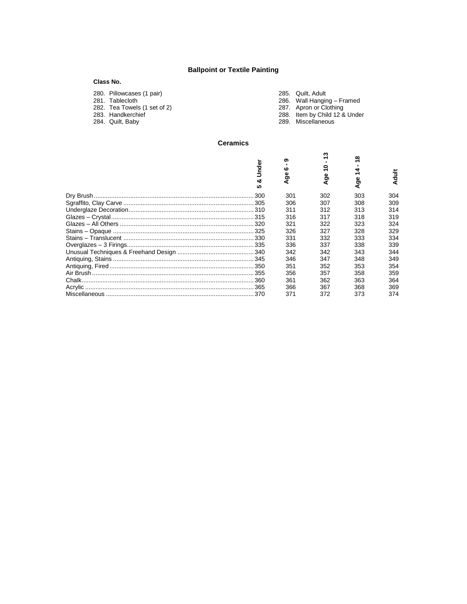# **Ballpoint or Textile Painting**

## **Class No.**

| 280. Pillowcases (1 pair)    | 285. Quilt. Adult             |
|------------------------------|-------------------------------|
| 281. Tablecloth              | 286. Wall Hanging - Framed    |
| 282. Tea Towels (1 set of 2) | 287. Apron or Clothing        |
| 283. Handkerchief            | 288. Item by Child 12 & Under |
| 284. Quilt, Baby             | 289. Miscellaneous            |
|                              |                               |

## **Ceramics**

| Under<br>ಯ<br>٠ | ග<br>ശ<br>Φ<br>ත | ო<br>0<br>န္တ | ထ<br>ω<br>ත | <b>Adult</b> |
|-----------------|------------------|---------------|-------------|--------------|
|                 | 301              | 302           | 303         | 304          |
|                 | 306              | 307           | 308         | 309          |
|                 | 311              | 312           | 313         | 314          |
|                 | 316              | 317           | 318         | 319          |
|                 | 321              | 322           | 323         | 324          |
|                 | 326              | 327           | 328         | 329          |
|                 | 331              | 332           | 333         | 334          |
|                 | 336              | 337           | 338         | 339          |
|                 | 342              | 342           | 343         | 344          |
|                 | 346              | 347           | 348         | 349          |
|                 | 351              | 352           | 353         | 354          |
|                 | 356              | 357           | 358         | 359          |
|                 | 361              | 362           | 363         | 364          |
|                 | 366              | 367           | 368         | 369          |
|                 | 371              | 372           | 373         | 374          |
|                 |                  |               |             |              |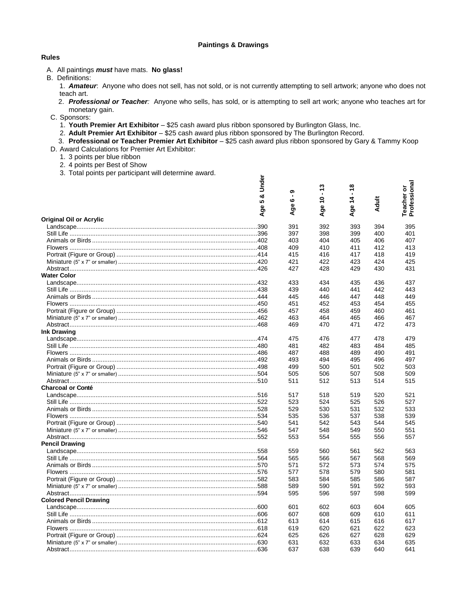## **Paintings & Drawings**

## **Rules**

- A. All paintings *must* have mats. **No glass!**
- B. Definitions:
	- 1. *Amateur*: Anyone who does not sell, has not sold, or is not currently attempting to sell artwork; anyone who does not teach art.
	- 2. *Professional or Teacher:* Anyone who sells, has sold, or is attempting to sell art work; anyone who teaches art for monetary gain.
- C. Sponsors:
	- 1. **Youth Premier Art Exhibitor** \$25 cash award plus ribbon sponsored by Burlington Glass, Inc.
	- 2. **Adult Premier Art Exhibitor** \$25 cash award plus ribbon sponsored by The Burlington Record.
	- 3. **Professional or Teacher Premier Art Exhibitor** \$25 cash award plus ribbon sponsored by Gary & Tammy Koop

ត

- D. Award Calculations for Premier Art Exhibitor:
	- 1. 3 points per blue ribbon
	- 2. 4 points per Best of Show
	- 3. Total points per participant will determine award.

| Under<br>ಹ<br>မာ<br>Age                                          | ග<br>$\mathbf{I}$<br>ဖ<br>Ф<br>₹ | $-13$<br>$\frac{1}{2}$<br>Age | $\frac{8}{1}$<br>$\frac{4}{5}$<br>Age | <b>Adult</b> | Teacher or<br>Professional |
|------------------------------------------------------------------|----------------------------------|-------------------------------|---------------------------------------|--------------|----------------------------|
| <b>Original Oil or Acrylic</b>                                   |                                  |                               |                                       |              |                            |
|                                                                  | 391                              | 392                           | 393                                   | 394          | 395                        |
|                                                                  | 397                              | 398                           | 399                                   | 400          | 401                        |
| Animals or Birds …………………………………………………………………………………402              | 403                              | 404                           | 405                                   | 406          | 407                        |
|                                                                  | 409                              | 410                           | 411                                   | 412          | 413                        |
|                                                                  | 415                              | 416                           | 417                                   | 418          | 419                        |
|                                                                  | 421                              | 422                           | 423                                   | 424          | 425                        |
|                                                                  | 427                              | 428                           | 429                                   | 430          | 431                        |
| <b>Water Color</b>                                               |                                  |                               |                                       |              |                            |
|                                                                  | 433                              | 434                           | 435                                   | 436          | 437                        |
| Still Life ……………………………………………………………………………………………438                | 439                              | 440                           | 441                                   | 442          | 443                        |
|                                                                  | 445                              | 446                           | 447                                   | 448          | 449                        |
| Flowers ……………………………………………………………………………………………450                   | 451                              | 452                           | 453                                   | 454          | 455                        |
|                                                                  | 457                              | 458                           | 459                                   | 460          | 461                        |
|                                                                  | 463                              | 464                           | 465                                   | 466          | 467                        |
|                                                                  | 469                              | 470                           | 471                                   | 472          | 473                        |
| <b>Ink Drawing</b>                                               |                                  |                               |                                       |              |                            |
|                                                                  | 475                              | 476                           | 477                                   | 478          | 479                        |
|                                                                  | 481                              | 482                           | 483                                   | 484          | 485                        |
|                                                                  | 487                              | 488                           | 489                                   | 490          | 491                        |
|                                                                  | 493                              | 494                           | 495                                   | 496          | 497                        |
|                                                                  | 499                              | 500                           | 501                                   | 502          | 503                        |
|                                                                  | 505                              | 506                           | 507                                   | 508          | 509                        |
|                                                                  | 511                              | 512                           | 513                                   | 514          | 515                        |
| <b>Charcoal or Conté</b>                                         |                                  |                               |                                       |              |                            |
|                                                                  | 517                              | 518                           | 519                                   | 520          | 521                        |
|                                                                  | 523                              | 524                           | 525                                   | 526          | 527                        |
|                                                                  | 529                              | 530                           | 531                                   | 532          | 533                        |
|                                                                  | 535                              | 536                           | 537                                   | 538          | 539                        |
|                                                                  | 541                              | 542                           | 543                                   | 544          | 545                        |
|                                                                  | 547                              | 548                           | 549                                   | 550          | 551                        |
|                                                                  | 553                              | 554                           | 555                                   | 556          | 557                        |
| <b>Pencil Drawing</b>                                            |                                  |                               |                                       |              |                            |
|                                                                  | 559                              | 560                           | 561                                   | 562          | 563                        |
|                                                                  | 565                              | 566                           | 567                                   | 568          | 569                        |
|                                                                  | 571                              | 572                           | 573                                   | 574          | 575                        |
| Flowers ……………………………………………………………………………………………576                   | 577                              | 578                           | 579                                   | 580          | 581                        |
|                                                                  | 583                              | 584                           | 585                                   | 586          | 587                        |
|                                                                  | 589                              | 590                           | 591                                   | 592          | 593                        |
|                                                                  | 595                              | 596                           | 597                                   | 598          | 599                        |
| <b>Colored Pencil Drawing</b>                                    |                                  |                               |                                       |              |                            |
|                                                                  | 601                              | 602                           | 603                                   | 604          | 605                        |
|                                                                  | 607                              | 608                           | 609                                   | 610          | 611                        |
|                                                                  | 613                              | 614                           | 615                                   | 616          | 617                        |
|                                                                  | 619                              | 620                           | 621                                   | 622          | 623                        |
|                                                                  | 625                              | 626                           | 627                                   | 628          | 629                        |
| Miniature (5" x 7" or smaller) ………………………………………………………………………………630 | 631                              | 632                           | 633                                   | 634          | 635                        |
|                                                                  | 637                              | 638                           | 639                                   | 640          | 641                        |
|                                                                  |                                  |                               |                                       |              |                            |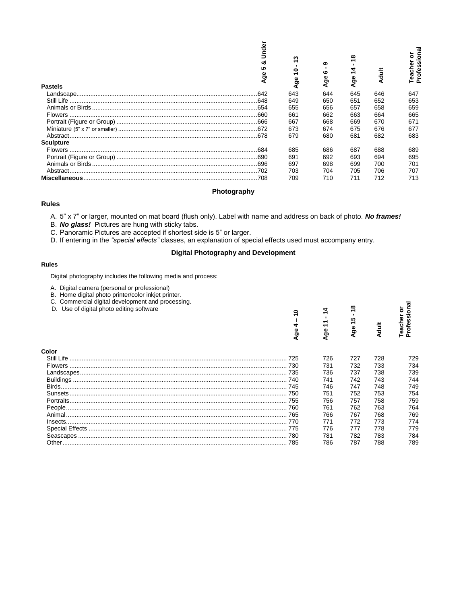|                                                                                                                                                                                                      | & Under<br>5<br><b>Age</b> | $\ddot{ }$<br>Age 10 -         | თ<br>ဖ<br>Ф<br>ঽ৾ | ge 14 - 18<br>∢ | <b>Adult</b> | Teacher or<br>Professional |
|------------------------------------------------------------------------------------------------------------------------------------------------------------------------------------------------------|----------------------------|--------------------------------|-------------------|-----------------|--------------|----------------------------|
| <b>Pastels</b>                                                                                                                                                                                       |                            | 643                            | 644               | 645             |              | 647                        |
|                                                                                                                                                                                                      |                            |                                |                   |                 | 646          |                            |
|                                                                                                                                                                                                      |                            | 649                            | 650               | 651             | 652          | 653                        |
|                                                                                                                                                                                                      |                            | 655                            | 656               | 657             | 658          | 659                        |
|                                                                                                                                                                                                      |                            | 661                            | 662               | 663             | 664          | 665                        |
|                                                                                                                                                                                                      |                            | 667                            | 668               | 669             | 670          | 671                        |
|                                                                                                                                                                                                      |                            | 673                            | 674               | 675             | 676          | 677                        |
|                                                                                                                                                                                                      |                            | 679                            | 680               | 681             | 682          | 683                        |
| <b>Sculpture</b>                                                                                                                                                                                     |                            |                                |                   |                 |              |                            |
|                                                                                                                                                                                                      |                            | 685                            | 686               | 687             | 688          | 689                        |
|                                                                                                                                                                                                      |                            | 691                            | 692               | 693             | 694          | 695                        |
|                                                                                                                                                                                                      |                            | 697                            | 698               | 699             | 700          | 701                        |
|                                                                                                                                                                                                      |                            | 703                            | 704               | 705             | 706          | 707                        |
|                                                                                                                                                                                                      |                            | 709                            | 710               | 711             | 712          | 713                        |
| Photography                                                                                                                                                                                          |                            |                                |                   |                 |              |                            |
| <b>Rules</b>                                                                                                                                                                                         |                            |                                |                   |                 |              |                            |
| <b>Digital Photography and Development</b><br><b>Rules</b>                                                                                                                                           |                            |                                |                   |                 |              |                            |
| Digital photography includes the following media and process:                                                                                                                                        |                            |                                |                   |                 |              |                            |
| A. Digital camera (personal or professional)<br>B. Home digital photo printer/color inkjet printer.<br>C. Commercial digital development and processing.<br>D. Use of digital photo editing software |                            | Ş<br>$\mathbf{I}$<br>4<br>Age. | $-14$<br>Age 11   | ÷<br>Age 15     | <b>Adult</b> | Professional<br>Teacher or |
| Color                                                                                                                                                                                                |                            |                                |                   |                 |              |                            |
|                                                                                                                                                                                                      |                            |                                | 726               | 727             | 728          | 729                        |
|                                                                                                                                                                                                      |                            |                                | 731               | 732             | 733          | 734                        |
|                                                                                                                                                                                                      |                            |                                | 736               | 737             | 738          | 739                        |
|                                                                                                                                                                                                      |                            |                                | 741               | 742             | 743          | 744                        |
|                                                                                                                                                                                                      |                            |                                | 746               | 747             | 748          | 749                        |
|                                                                                                                                                                                                      |                            |                                | 751               | 752             | 753          | 754                        |
|                                                                                                                                                                                                      |                            |                                | 756               | 757             | 758          | 759                        |
|                                                                                                                                                                                                      |                            |                                | 761               | 762             | 763          | 764                        |
|                                                                                                                                                                                                      |                            |                                | 766               | 767             | 768          | 769                        |
|                                                                                                                                                                                                      |                            |                                |                   |                 |              |                            |
|                                                                                                                                                                                                      |                            |                                | 771               | 772             | 773          | 774                        |
|                                                                                                                                                                                                      |                            |                                | 776               | 777             | 778          | 779                        |
|                                                                                                                                                                                                      |                            |                                | 781               | 782             | 783          | 784                        |
|                                                                                                                                                                                                      |                            |                                | 786               | 787             | 788          | 789                        |

#### **Photography**

#### **Rules**

## **Digital Photography and Development**

#### **Rules**

- A. Digital camera (personal or professional)
- B. Home digital photo printer/color inkjet printer.
- C. Commercial digital development and processing.
- D. Use of digital photo editing software

|       | Ф<br>ā | Φ<br>ō | <b>IO</b><br>န္တ<br>⊄ | 븅<br>∢ | eacl |
|-------|--------|--------|-----------------------|--------|------|
| Color |        |        |                       |        |      |
|       |        | 726    | 727                   | 728    | 729  |
|       |        | 731    | 732                   | 733    | 734  |
|       |        | 736    | 737                   | 738    | 739  |
|       |        | 741    | 742                   | 743    | 744  |
|       |        | 746    | 747                   | 748    | 749  |
|       |        | 751    | 752                   | 753    | 754  |
|       |        | 756    | 757                   | 758    | 759  |
|       |        | 761    | 762                   | 763    | 764  |
|       |        | 766    | 767                   | 768    | 769  |
|       |        | 771    | 772                   | 773    | 774  |
|       |        | 776    | 777                   | 778    | 779  |
|       |        | 781    | 782                   | 783    | 784  |
|       |        | 786    | 787                   | 788    | 789  |
|       |        |        |                       |        |      |